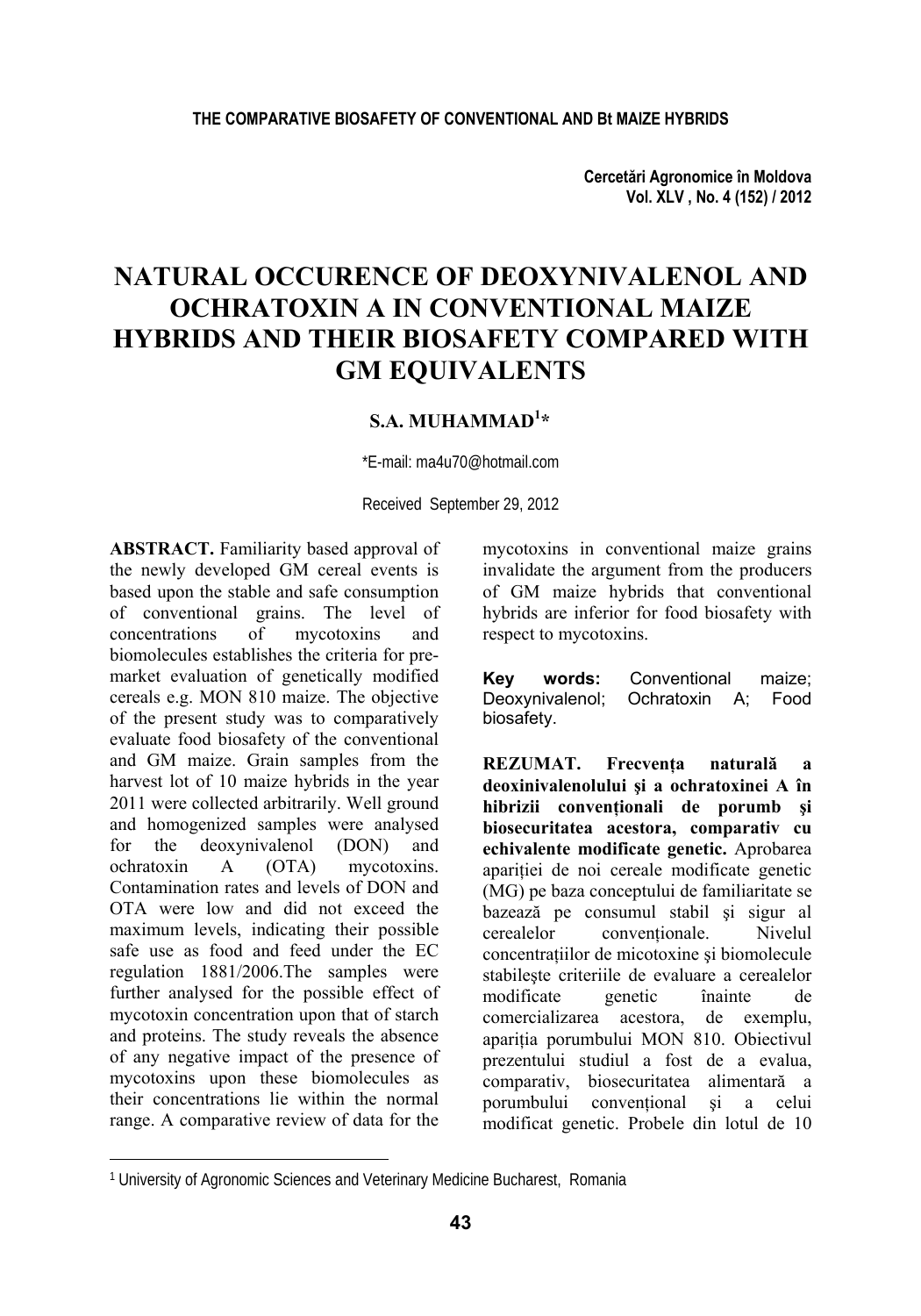**Cercetări Agronomice în Moldova Vol. XLV , No. 4 (152) / 2012** 

# **NATURAL OCCURENCE OF DEOXYNIVALENOL AND OCHRATOXIN A IN CONVENTIONAL MAIZE HYBRIDS AND THEIR BIOSAFETY COMPARED WITH GM EQUIVALENTS**

### **S.A. MUHAMMAD1 \***

\*E-mail: ma4u70@hotmail.com

Received September 29, 2012

**ABSTRACT.** Familiarity based approval of the newly developed GM cereal events is based upon the stable and safe consumption of conventional grains. The level of concentrations of mycotoxins and biomolecules establishes the criteria for premarket evaluation of genetically modified cereals e.g. MON 810 maize. The objective of the present study was to comparatively evaluate food biosafety of the conventional and GM maize. Grain samples from the harvest lot of 10 maize hybrids in the year 2011 were collected arbitrarily. Well ground and homogenized samples were analysed for the deoxynivalenol (DON) and ochratoxin A (OTA) mycotoxins. Contamination rates and levels of DON and OTA were low and did not exceed the maximum levels, indicating their possible safe use as food and feed under the EC regulation 1881/2006.The samples were further analysed for the possible effect of mycotoxin concentration upon that of starch and proteins. The study reveals the absence of any negative impact of the presence of mycotoxins upon these biomolecules as their concentrations lie within the normal range. A comparative review of data for the

l

mycotoxins in conventional maize grains invalidate the argument from the producers of GM maize hybrids that conventional hybrids are inferior for food biosafety with respect to mycotoxins.

**Key words:** Conventional maize; Deoxynivalenol; Ochratoxin A; Food biosafety.

**REZUMAT. Frecvenţa naturală a deoxinivalenolului şi a ochratoxinei A în hibrizii convenţionali de porumb şi biosecuritatea acestora, comparativ cu echivalente modificate genetic.** Aprobarea aparitiei de noi cereale modificate genetic (MG) pe baza conceptului de familiaritate se bazează pe consumul stabil şi sigur al cerealelor conventionale. Nivelul concentratiilor de micotoxine si biomolecule stabileşte criteriile de evaluare a cerealelor modificate genetic înainte de comercializarea acestora, de exemplu, apariţia porumbului MON 810. Obiectivul prezentului studiul a fost de a evalua, comparativ, biosecuritatea alimentară a porumbului conventional si a celui modificat genetic. Probele din lotul de 10

<sup>1</sup> University of Agronomic Sciences and Veterinary Medicine Bucharest, Romania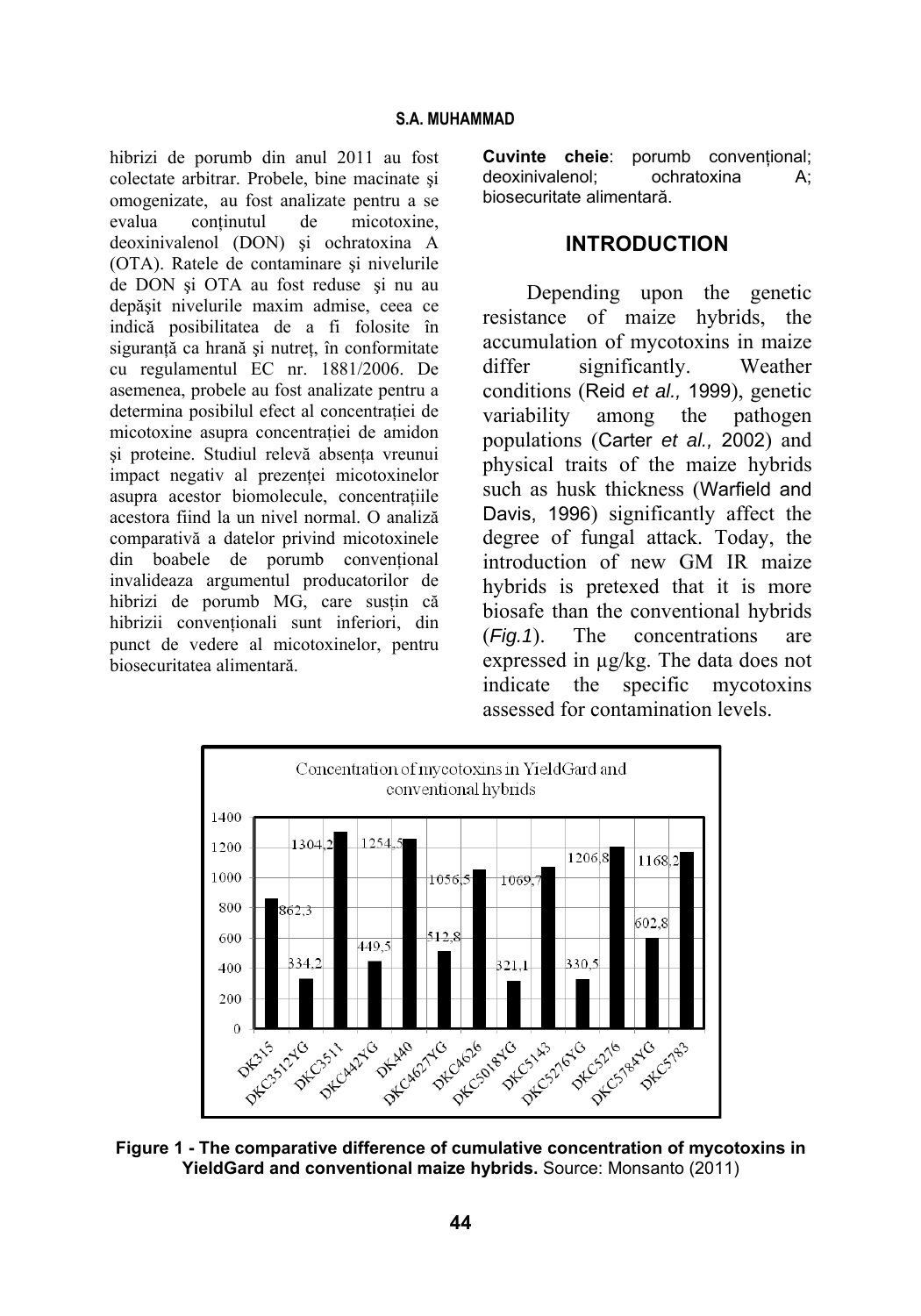hibrizi de porumb din anul 2011 au fost colectate arbitrar. Probele, bine macinate şi omogenizate, au fost analizate pentru a se evalua continutul de micotoxine, deoxinivalenol (DON) şi ochratoxina A (OTA). Ratele de contaminare şi nivelurile de DON şi OTA au fost reduse şi nu au depăşit nivelurile maxim admise, ceea ce indică posibilitatea de a fi folosite în siguranţă ca hrană şi nutreţ, în conformitate cu regulamentul EC nr. 1881/2006. De asemenea, probele au fost analizate pentru a determina posibilul efect al concentratiei de micotoxine asupra concentratiei de amidon şi proteine. Studiul relevă absenţa vreunui impact negativ al prezenţei micotoxinelor asupra acestor biomolecule, concentratiile acestora fiind la un nivel normal. O analiză comparativă a datelor privind micotoxinele din boabele de porumb conventional invalideaza argumentul producatorilor de hibrizi de porumb MG, care susțin că hibrizii conventionali sunt inferiori, din punct de vedere al micotoxinelor, pentru biosecuritatea alimentară.

**Cuvinte cheie**: porumb conventional; deoxinivalenol; ochratoxina A; biosecuritate alimentară.

### **INTRODUCTION**

Depending upon the genetic resistance of maize hybrids, the accumulation of mycotoxins in maize differ significantly. Weather conditions (Reid *et al.,* 1999), genetic variability among the pathogen populations (Carter *et al.,* 2002) and physical traits of the maize hybrids such as husk thickness (Warfield and Davis, 1996) significantly affect the degree of fungal attack. Today, the introduction of new GM IR maize hybrids is pretexed that it is more biosafe than the conventional hybrids (*Fig.1*). The concentrations are expressed in µg/kg. The data does not indicate the specific mycotoxins assessed for contamination levels.



**Figure 1 - The comparative difference of cumulative concentration of mycotoxins in YieldGard and conventional maize hybrids.** Source: Monsanto (2011)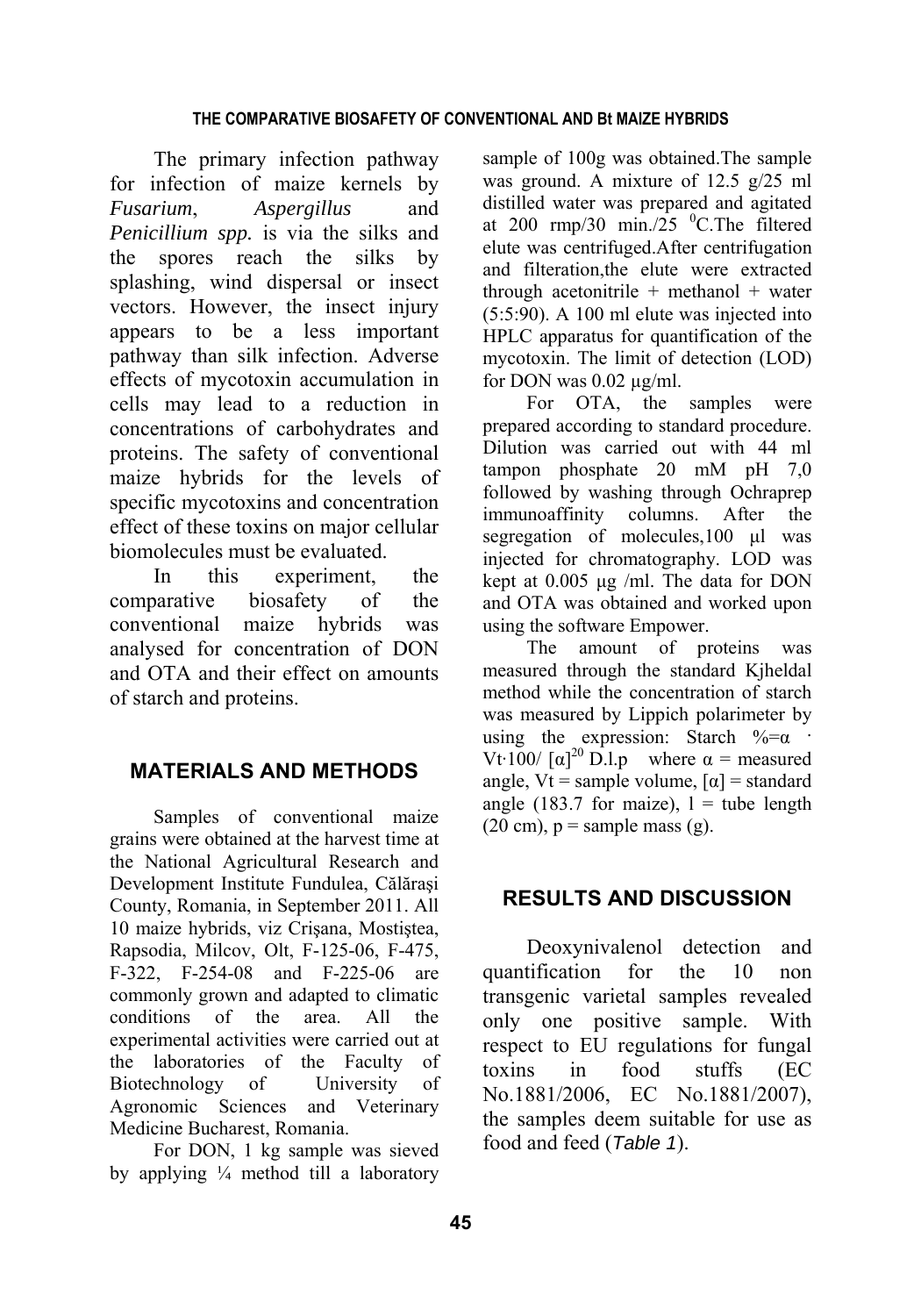The primary infection pathway for infection of maize kernels by *Fusarium*, *Aspergillus* and *Penicillium spp.* is via the silks and the spores reach the silks by splashing, wind dispersal or insect vectors. However, the insect injury appears to be a less important pathway than silk infection. Adverse effects of mycotoxin accumulation in cells may lead to a reduction in concentrations of carbohydrates and proteins. The safety of conventional maize hybrids for the levels of specific mycotoxins and concentration effect of these toxins on major cellular biomolecules must be evaluated.

In this experiment, the comparative biosafety of the conventional maize hybrids was analysed for concentration of DON and OTA and their effect on amounts of starch and proteins.

## **MATERIALS AND METHODS**

Samples of conventional maize grains were obtained at the harvest time at the National Agricultural Research and Development Institute Fundulea, Călăraşi County, Romania, in September 2011. All 10 maize hybrids, viz Crişana, Mostiştea, Rapsodia, Milcov, Olt, F-125-06, F-475, F-322, F-254-08 and F-225-06 are commonly grown and adapted to climatic conditions of the area. All the experimental activities were carried out at the laboratories of the Faculty of Biotechnology of University of Agronomic Sciences and Veterinary Medicine Bucharest, Romania.

For DON, 1 kg sample was sieved by applying  $\frac{1}{4}$  method till a laboratory sample of 100g was obtained.The sample was ground. A mixture of 12.5 g/25 ml distilled water was prepared and agitated at 200 rmp/30 min./25  $^{0}$ C.The filtered elute was centrifuged.After centrifugation and filteration,the elute were extracted through acetonitrile  $+$  methanol  $+$  water (5:5:90). A 100 ml elute was injected into HPLC apparatus for quantification of the mycotoxin. The limit of detection (LOD) for DON was  $0.02 \mu g/ml$ .

For OTA, the samples were prepared according to standard procedure. Dilution was carried out with 44 ml tampon phosphate 20 mM pH 7,0 followed by washing through Ochraprep immunoaffinity columns. After the segregation of molecules,100 μl was injected for chromatography. LOD was kept at 0.005 μg /ml. The data for DON and OTA was obtained and worked upon using the software Empower.

The amount of proteins was measured through the standard Kjheldal method while the concentration of starch was measured by Lippich polarimeter by using the expression: Starch  $% = \alpha$ Vt $\cdot$ 100/ [ $\alpha$ ]<sup>20</sup> D.l.p where  $\alpha$  = measured angle, Vt = sample volume,  $\lceil \alpha \rceil$  = standard angle (183.7 for maize),  $l =$  tube length  $(20 \text{ cm})$ ,  $p =$  sample mass  $(g)$ .

## **RESULTS AND DISCUSSION**

Deoxynivalenol detection and quantification for the 10 non transgenic varietal samples revealed only one positive sample. With respect to EU regulations for fungal toxins in food stuffs (EC No.1881/2006, EC No.1881/2007), the samples deem suitable for use as food and feed (*Table 1*).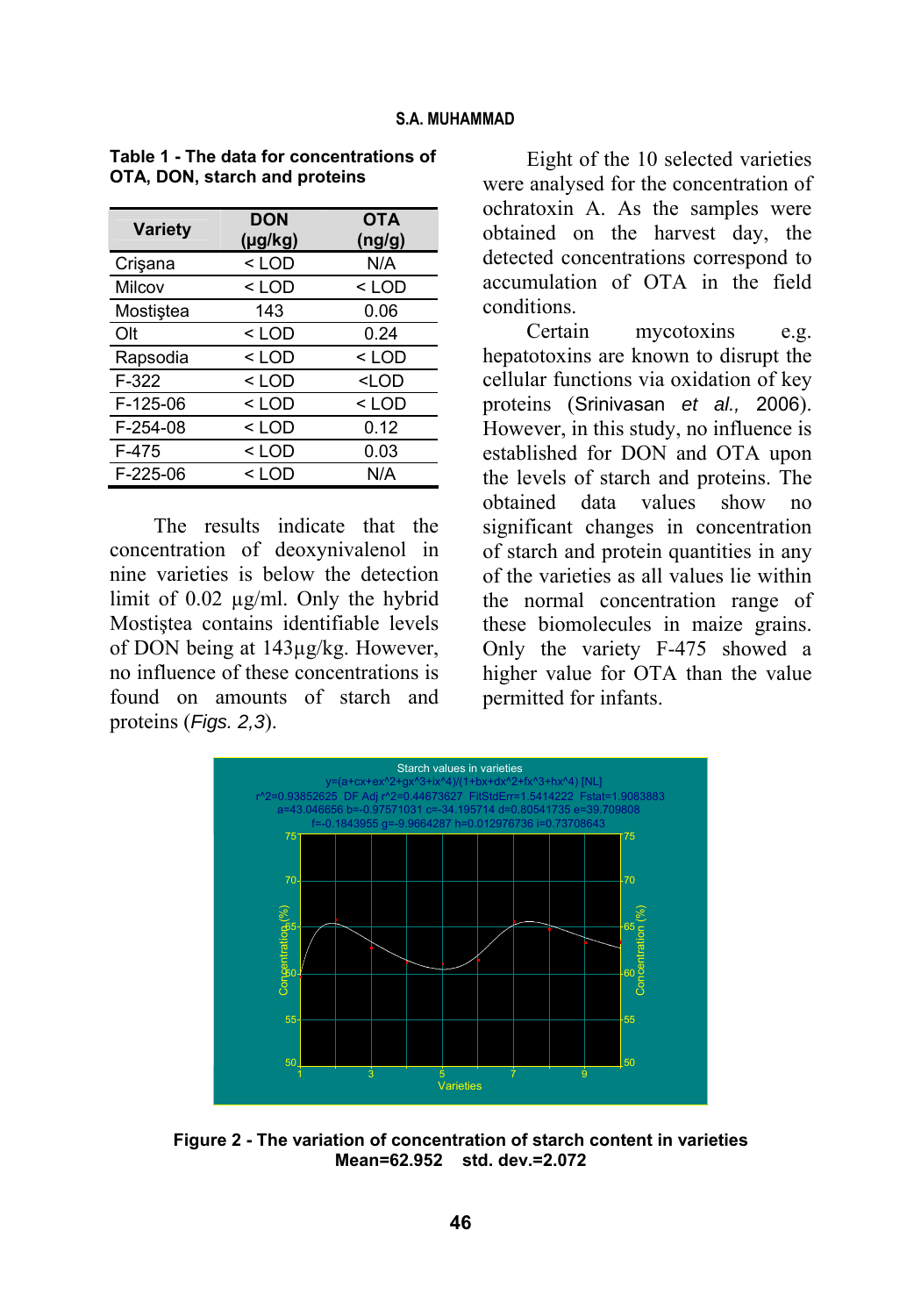| <b>Variety</b> | <b>DON</b><br>$(\mu g/kg)$ | <b>OTA</b><br>(ng/g) |
|----------------|----------------------------|----------------------|
| Crisana        | $<$ LOD                    | N/A                  |
| Milcov         | $<$ LOD                    | < LOD                |
| Mostiștea      | 143                        | 0.06                 |
| Olt            | $<$ LOD                    | 0.24                 |
| Rapsodia       | $<$ LOD                    | $<$ LOD              |
| $F-322$        | $<$ LOD                    | <lod< td=""></lod<>  |
| $F-125-06$     | $<$ LOD                    | $<$ LOD              |
| F-254-08       | $<$ LOD                    | 0.12                 |
| $F-475$        | $<$ LOD                    | 0.03                 |
| $F-225-06$     | < LOD                      | N/A                  |

**Table 1 - The data for concentrations of OTA, DON, starch and proteins** 

The results indicate that the concentration of deoxynivalenol in nine varieties is below the detection limit of 0.02 µg/ml. Only the hybrid Mostiştea contains identifiable levels of DON being at 143µg/kg. However, no influence of these concentrations is found on amounts of starch and proteins (*Figs. 2,3*).

Eight of the 10 selected varieties were analysed for the concentration of ochratoxin A. As the samples were obtained on the harvest day, the detected concentrations correspond to accumulation of OTA in the field conditions.

Certain mycotoxins e.g. hepatotoxins are known to disrupt the cellular functions via oxidation of key proteins (Srinivasan *et al.,* 2006). However, in this study, no influence is established for DON and OTA upon the levels of starch and proteins. The obtained data values show no significant changes in concentration of starch and protein quantities in any of the varieties as all values lie within the normal concentration range of these biomolecules in maize grains. Only the variety F-475 showed a higher value for OTA than the value permitted for infants.



**Figure 2 - The variation of concentration of starch content in varieties Mean=62.952 std. dev.=2.072**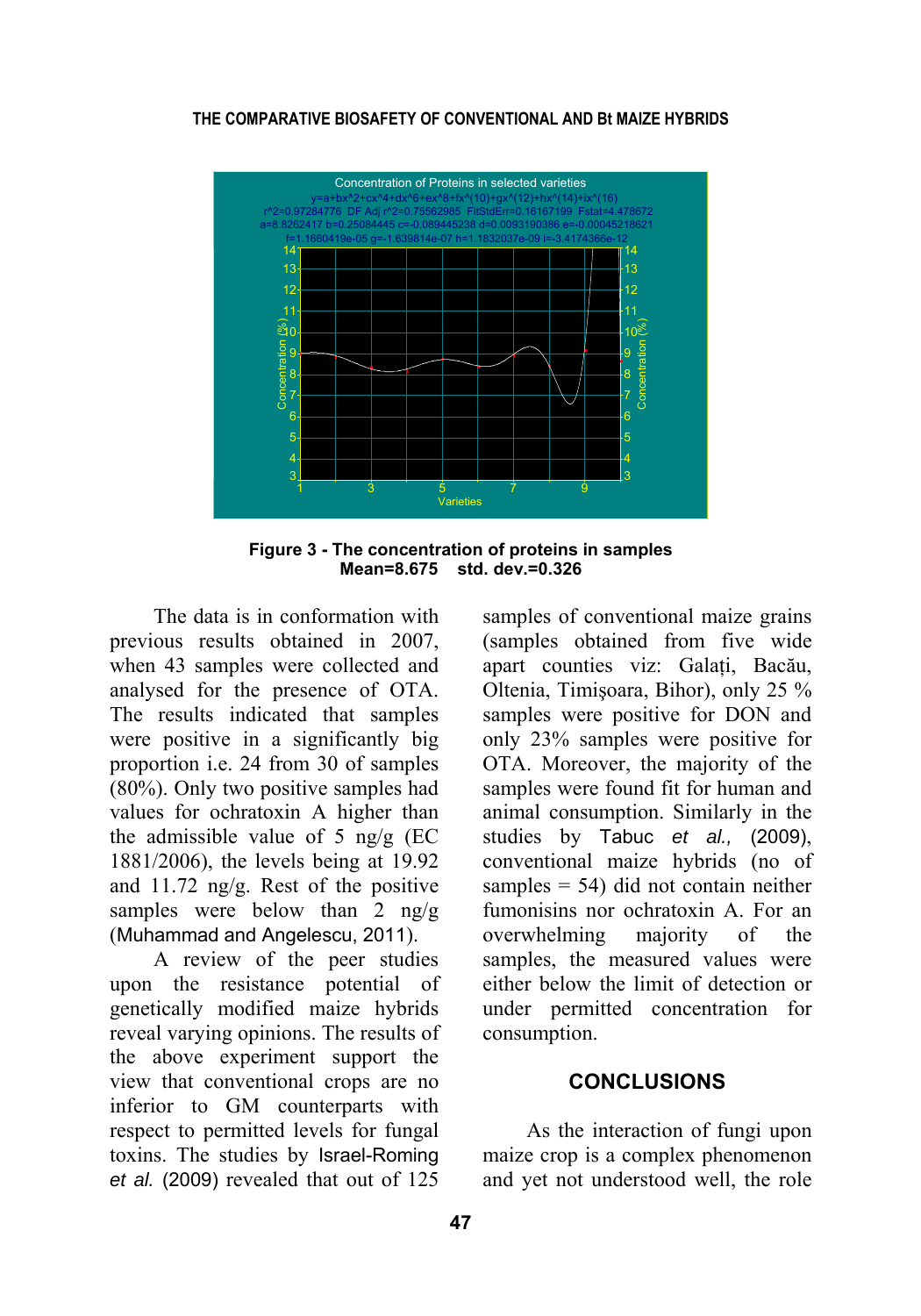#### **THE COMPARATIVE BIOSAFETY OF CONVENTIONAL AND Bt MAIZE HYBRIDS**



**Figure 3 - The concentration of proteins in samples Mean=8.675 std. dev.=0.326** 

The data is in conformation with previous results obtained in 2007, when 43 samples were collected and analysed for the presence of OTA. The results indicated that samples were positive in a significantly big proportion i.e. 24 from 30 of samples (80%). Only two positive samples had values for ochratoxin A higher than the admissible value of 5 ng/g (EC 1881/2006), the levels being at 19.92 and 11.72 ng/g. Rest of the positive samples were below than 2 ng/g (Muhammad and Angelescu, 2011).

A review of the peer studies upon the resistance potential of genetically modified maize hybrids reveal varying opinions. The results of the above experiment support the view that conventional crops are no inferior to GM counterparts with respect to permitted levels for fungal toxins. The studies by Israel-Roming *et al.* (2009) revealed that out of 125

samples of conventional maize grains (samples obtained from five wide apart counties viz: Galaţi, Bacău, Oltenia, Timişoara, Bihor), only 25 % samples were positive for DON and only 23% samples were positive for OTA. Moreover, the majority of the samples were found fit for human and animal consumption. Similarly in the studies by Tabuc *et al.,* (2009), conventional maize hybrids (no of samples  $= 54$ ) did not contain neither fumonisins nor ochratoxin A. For an overwhelming majority of the samples, the measured values were either below the limit of detection or under permitted concentration for consumption.

#### **CONCLUSIONS**

As the interaction of fungi upon maize crop is a complex phenomenon and yet not understood well, the role